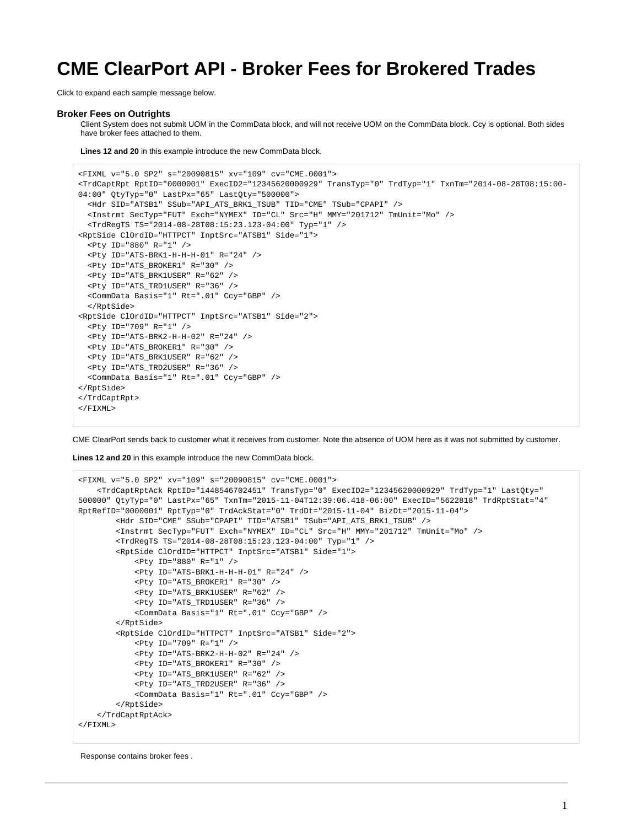# **CME ClearPort API - Broker Fees for Brokered Trades**

Click to expand each sample message below.

#### **Broker Fees on Outrights**

Client System does not submit UOM in the CommData block, and will not receive UOM on the CommData block. Ccy is optional. Both sides have broker fees attached to them.

**Lines 12 and 20** in this example introduce the new CommData block.

```
<FIXML v="5.0 SP2" s="20090815" xv="109" cv="CME.0001">
<TrdCaptRpt RptID="0000001" ExecID2="12345620000929" TransTyp="0" TrdTyp="1" TxnTm="2014-08-28T08:15:00-
04:00" QtyTyp="0" LastPx="65" LastQty="500000">
  <Hdr SID="ATSB1" SSub="API_ATS_BRK1_TSUB" TID="CME" TSub="CPAPI" />
   <Instrmt SecTyp="FUT" Exch="NYMEX" ID="CL" Src="H" MMY="201712" TmUnit="Mo" />
   <TrdRegTS TS="2014-08-28T08:15:23.123-04:00" Typ="1" />
<RptSide ClOrdID="HTTPCT" InptSrc="ATSB1" Side="1">
   <Pty ID="880" R="1" />
   <Pty ID="ATS-BRK1-H-H-H-01" R="24" />
   <Pty ID="ATS_BROKER1" R="30" />
   <Pty ID="ATS_BRK1USER" R="62" />
   <Pty ID="ATS_TRD1USER" R="36" />
   <CommData Basis="1" Rt=".01" Ccy="GBP" />
   </RptSide>
<RptSide ClOrdID="HTTPCT" InptSrc="ATSB1" Side="2">
   <Pty ID="709" R="1" />
   <Pty ID="ATS-BRK2-H-H-02" R="24" />
   <Pty ID="ATS_BROKER1" R="30" />
   <Pty ID="ATS_BRK1USER" R="62" />
   <Pty ID="ATS_TRD2USER" R="36" />
   <CommData Basis="1" Rt=".01" Ccy="GBP" />
</RptSide>
</TrdCaptRpt>
\epsilon/FTXML>
```
CME ClearPort sends back to customer what it receives from customer. Note the absence of UOM here as it was not submitted by customer.

**Lines 12 and 20** in this example introduce the new CommData block.

```
<FIXML v="5.0 SP2" xv="109" s="20090815" cv="CME.0001">
     <TrdCaptRptAck RptID="1448546702451" TransTyp="0" ExecID2="12345620000929" TrdTyp="1" LastQty="
500000" QtyTyp="0" LastPx="65" TxnTm="2015-11-04T12:39:06.418-06:00" ExecID="5622818" TrdRptStat="4" 
RptRefID="0000001" RptTyp="0" TrdAckStat="0" TrdDt="2015-11-04" BizDt="2015-11-04">
         <Hdr SID="CME" SSub="CPAPI" TID="ATSB1" TSub="API_ATS_BRK1_TSUB" />
         <Instrmt SecTyp="FUT" Exch="NYMEX" ID="CL" Src="H" MMY="201712" TmUnit="Mo" />
         <TrdRegTS TS="2014-08-28T08:15:23.123-04:00" Typ="1" />
         <RptSide ClOrdID="HTTPCT" InptSrc="ATSB1" Side="1">
             <Pty ID="880" R="1" />
             <Pty ID="ATS-BRK1-H-H-H-01" R="24" />
             <Pty ID="ATS_BROKER1" R="30" />
             <Pty ID="ATS_BRK1USER" R="62" />
             <Pty ID="ATS_TRD1USER" R="36" />
             <CommData Basis="1" Rt=".01" Ccy="GBP" />
         </RptSide>
         <RptSide ClOrdID="HTTPCT" InptSrc="ATSB1" Side="2">
             <Pty ID="709" R="1" />
             <Pty ID="ATS-BRK2-H-H-02" R="24" />
             <Pty ID="ATS_BROKER1" R="30" />
             <Pty ID="ATS_BRK1USER" R="62" />
             <Pty ID="ATS_TRD2USER" R="36" />
             <CommData Basis="1" Rt=".01" Ccy="GBP" />
         </RptSide>
     </TrdCaptRptAck>
</FIXML>
```
Response contains broker fees .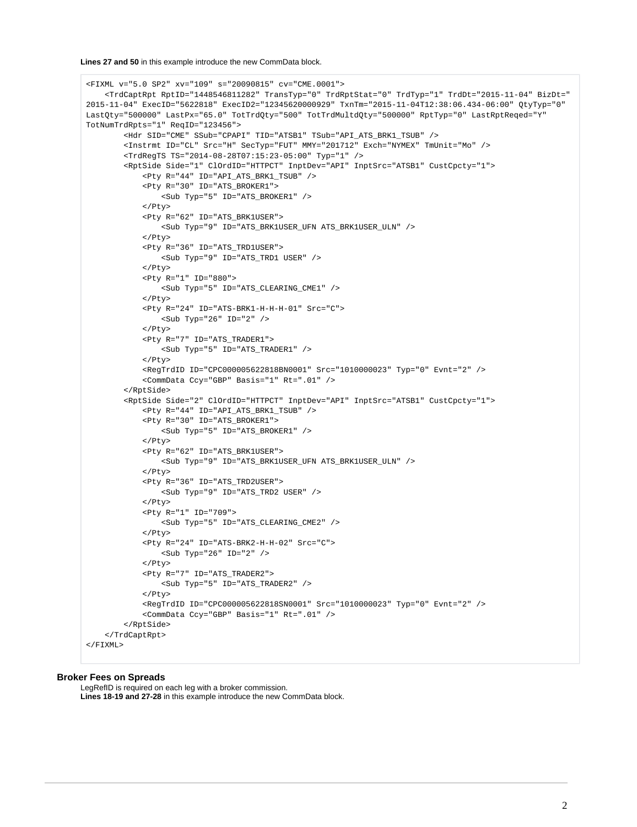**Lines 27 and 50** in this example introduce the new CommData block.

```
<FIXML v="5.0 SP2" xv="109" s="20090815" cv="CME.0001">
     <TrdCaptRpt RptID="1448546811282" TransTyp="0" TrdRptStat="0" TrdTyp="1" TrdDt="2015-11-04" BizDt="
2015-11-04" ExecID="5622818" ExecID2="12345620000929" TxnTm="2015-11-04T12:38:06.434-06:00" QtyTyp="0" 
LastQty="500000" LastPx="65.0" TotTrdQty="500" TotTrdMultdQty="500000" RptTyp="0" LastRptReqed="Y" 
TotNumTrdRpts="1" ReqID="123456">
         <Hdr SID="CME" SSub="CPAPI" TID="ATSB1" TSub="API_ATS_BRK1_TSUB" />
         <Instrmt ID="CL" Src="H" SecTyp="FUT" MMY="201712" Exch="NYMEX" TmUnit="Mo" />
         <TrdRegTS TS="2014-08-28T07:15:23-05:00" Typ="1" />
         <RptSide Side="1" ClOrdID="HTTPCT" InptDev="API" InptSrc="ATSB1" CustCpcty="1">
             <Pty R="44" ID="API_ATS_BRK1_TSUB" />
             <Pty R="30" ID="ATS_BROKER1">
                 <Sub Typ="5" ID="ATS_BROKER1" />
             </Pty>
             <Pty R="62" ID="ATS_BRK1USER">
                 <Sub Typ="9" ID="ATS_BRK1USER_UFN ATS_BRK1USER_ULN" />
            </Pty>
             <Pty R="36" ID="ATS_TRD1USER">
                 <Sub Typ="9" ID="ATS_TRD1 USER" />
             </Pty>
             <Pty R="1" ID="880">
                 <Sub Typ="5" ID="ATS_CLEARING_CME1" />
             </Pty>
             <Pty R="24" ID="ATS-BRK1-H-H-H-01" Src="C">
                 <Sub Typ="26" ID="2" />
            \epsilon/Pty>
             <Pty R="7" ID="ATS_TRADER1">
                 <Sub Typ="5" ID="ATS_TRADER1" />
             </Pty>
             <RegTrdID ID="CPC000005622818BN0001" Src="1010000023" Typ="0" Evnt="2" />
             <CommData Ccy="GBP" Basis="1" Rt=".01" />
         </RptSide>
         <RptSide Side="2" ClOrdID="HTTPCT" InptDev="API" InptSrc="ATSB1" CustCpcty="1">
             <Pty R="44" ID="API_ATS_BRK1_TSUB" />
             <Pty R="30" ID="ATS_BROKER1">
                 <Sub Typ="5" ID="ATS_BROKER1" />
             </Pty>
             <Pty R="62" ID="ATS_BRK1USER">
                 <Sub Typ="9" ID="ATS_BRK1USER_UFN ATS_BRK1USER_ULN" />
             </Pty>
             <Pty R="36" ID="ATS_TRD2USER">
                \texttt{<Sub Type="9" ID="ATS_TRD2 USER" } \rightarrow</Pty>
             <Pty R="1" ID="709">
                 <Sub Typ="5" ID="ATS_CLEARING_CME2" />
            </Pty>
             <Pty R="24" ID="ATS-BRK2-H-H-02" Src="C">
                 <Sub Typ="26" ID="2" />
             </Pty>
             <Pty R="7" ID="ATS_TRADER2">
                 <Sub Typ="5" ID="ATS_TRADER2" />
             </Pty>
             <RegTrdID ID="CPC000005622818SN0001" Src="1010000023" Typ="0" Evnt="2" />
             <CommData Ccy="GBP" Basis="1" Rt=".01" />
         </RptSide>
     </TrdCaptRpt>
</FIXML>
```
### **Broker Fees on Spreads**

LegRefID is required on each leg with a broker commission. **Lines 18-19 and 27-28** in this example introduce the new CommData block.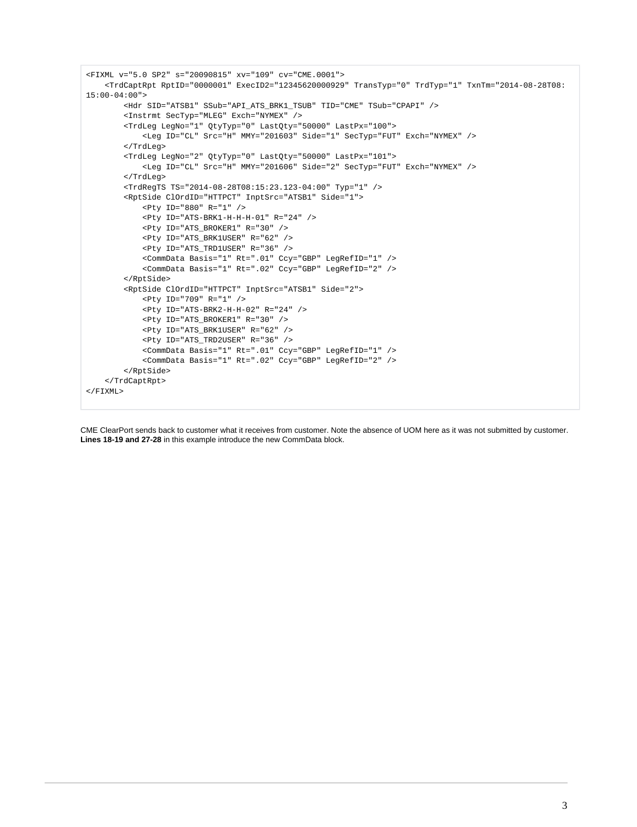```
<FIXML v="5.0 SP2" s="20090815" xv="109" cv="CME.0001">
     <TrdCaptRpt RptID="0000001" ExecID2="12345620000929" TransTyp="0" TrdTyp="1" TxnTm="2014-08-28T08:
15:00-04:00">
         <Hdr SID="ATSB1" SSub="API_ATS_BRK1_TSUB" TID="CME" TSub="CPAPI" />
         <Instrmt SecTyp="MLEG" Exch="NYMEX" />
         <TrdLeg LegNo="1" QtyTyp="0" LastQty="50000" LastPx="100">
             <Leg ID="CL" Src="H" MMY="201603" Side="1" SecTyp="FUT" Exch="NYMEX" />
         </TrdLeg>
         <TrdLeg LegNo="2" QtyTyp="0" LastQty="50000" LastPx="101">
             <Leg ID="CL" Src="H" MMY="201606" Side="2" SecTyp="FUT" Exch="NYMEX" />
         </TrdLeg>
         <TrdRegTS TS="2014-08-28T08:15:23.123-04:00" Typ="1" />
         <RptSide ClOrdID="HTTPCT" InptSrc="ATSB1" Side="1">
             <Pty ID="880" R="1" />
             <Pty ID="ATS-BRK1-H-H-H-01" R="24" />
             <Pty ID="ATS_BROKER1" R="30" />
             <Pty ID="ATS_BRK1USER" R="62" />
             <Pty ID="ATS_TRD1USER" R="36" />
             <CommData Basis="1" Rt=".01" Ccy="GBP" LegRefID="1" />
             <CommData Basis="1" Rt=".02" Ccy="GBP" LegRefID="2" />
         </RptSide>
         <RptSide ClOrdID="HTTPCT" InptSrc="ATSB1" Side="2">
             <Pty ID="709" R="1" />
             <Pty ID="ATS-BRK2-H-H-02" R="24" />
             <Pty ID="ATS_BROKER1" R="30" />
             <Pty ID="ATS_BRK1USER" R="62" />
             <Pty ID="ATS_TRD2USER" R="36" />
             <CommData Basis="1" Rt=".01" Ccy="GBP" LegRefID="1" />
             <CommData Basis="1" Rt=".02" Ccy="GBP" LegRefID="2" />
         </RptSide>
     </TrdCaptRpt>
</FIXML>
```
CME ClearPort sends back to customer what it receives from customer. Note the absence of UOM here as it was not submitted by customer. **Lines 18-19 and 27-28** in this example introduce the new CommData block.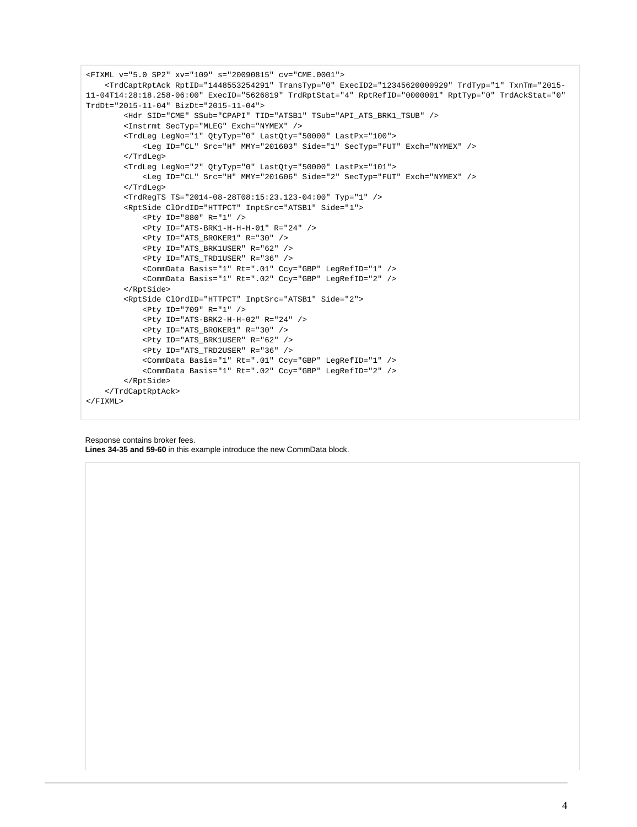```
<FIXML v="5.0 SP2" xv="109" s="20090815" cv="CME.0001">
     <TrdCaptRptAck RptID="1448553254291" TransTyp="0" ExecID2="12345620000929" TrdTyp="1" TxnTm="2015-
11-04T14:28:18.258-06:00" ExecID="5626819" TrdRptStat="4" RptRefID="0000001" RptTyp="0" TrdAckStat="0" 
TrdDt="2015-11-04" BizDt="2015-11-04">
         <Hdr SID="CME" SSub="CPAPI" TID="ATSB1" TSub="API_ATS_BRK1_TSUB" />
         <Instrmt SecTyp="MLEG" Exch="NYMEX" />
         <TrdLeg LegNo="1" QtyTyp="0" LastQty="50000" LastPx="100">
             <Leg ID="CL" Src="H" MMY="201603" Side="1" SecTyp="FUT" Exch="NYMEX" />
         </TrdLeg>
         <TrdLeg LegNo="2" QtyTyp="0" LastQty="50000" LastPx="101">
             <Leg ID="CL" Src="H" MMY="201606" Side="2" SecTyp="FUT" Exch="NYMEX" />
         </TrdLeg>
         <TrdRegTS TS="2014-08-28T08:15:23.123-04:00" Typ="1" />
         <RptSide ClOrdID="HTTPCT" InptSrc="ATSB1" Side="1">
             <Pty ID="880" R="1" />
             <Pty ID="ATS-BRK1-H-H-H-01" R="24" />
             <Pty ID="ATS_BROKER1" R="30" />
             <Pty ID="ATS_BRK1USER" R="62" />
             <Pty ID="ATS_TRD1USER" R="36" />
             <CommData Basis="1" Rt=".01" Ccy="GBP" LegRefID="1" />
             <CommData Basis="1" Rt=".02" Ccy="GBP" LegRefID="2" />
         </RptSide>
         <RptSide ClOrdID="HTTPCT" InptSrc="ATSB1" Side="2">
             <Pty ID="709" R="1" />
             <Pty ID="ATS-BRK2-H-H-02" R="24" />
             <Pty ID="ATS_BROKER1" R="30" />
             <Pty ID="ATS_BRK1USER" R="62" />
             <Pty ID="ATS_TRD2USER" R="36" />
             <CommData Basis="1" Rt=".01" Ccy="GBP" LegRefID="1" />
             <CommData Basis="1" Rt=".02" Ccy="GBP" LegRefID="2" />
         </RptSide>
     </TrdCaptRptAck>
</FIXML>
```
Response contains broker fees. **Lines 34-35 and 59-60** in this example introduce the new CommData block.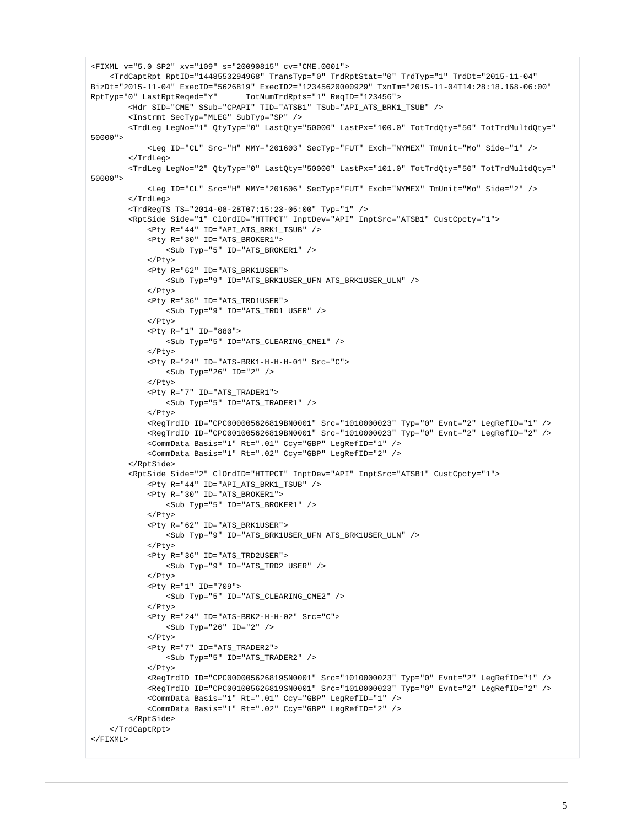```
<FIXML v="5.0 SP2" xv="109" s="20090815" cv="CME.0001">
     <TrdCaptRpt RptID="1448553294968" TransTyp="0" TrdRptStat="0" TrdTyp="1" TrdDt="2015-11-04" 
BizDt="2015-11-04" ExecID="5626819" ExecID2="12345620000929" TxnTm="2015-11-04T14:28:18.168-06:00" 
RptTyp="0" LastRptReqed="Y" TotNumTrdRpts="1" ReqID="123456">
         <Hdr SID="CME" SSub="CPAPI" TID="ATSB1" TSub="API_ATS_BRK1_TSUB" />
         <Instrmt SecTyp="MLEG" SubTyp="SP" />
         <TrdLeg LegNo="1" QtyTyp="0" LastQty="50000" LastPx="100.0" TotTrdQty="50" TotTrdMultdQty="
50000" <Leg ID="CL" Src="H" MMY="201603" SecTyp="FUT" Exch="NYMEX" TmUnit="Mo" Side="1" />
         </TrdLeg>
         <TrdLeg LegNo="2" QtyTyp="0" LastQty="50000" LastPx="101.0" TotTrdQty="50" TotTrdMultdQty="
50000">
             <Leg ID="CL" Src="H" MMY="201606" SecTyp="FUT" Exch="NYMEX" TmUnit="Mo" Side="2" />
         </TrdLeg>
         <TrdRegTS TS="2014-08-28T07:15:23-05:00" Typ="1" />
         <RptSide Side="1" ClOrdID="HTTPCT" InptDev="API" InptSrc="ATSB1" CustCpcty="1">
             <Pty R="44" ID="API_ATS_BRK1_TSUB" />
             <Pty R="30" ID="ATS_BROKER1">
                 <Sub Typ="5" ID="ATS_BROKER1" />
            \langle/Ptv>
             <Pty R="62" ID="ATS_BRK1USER">
                 <Sub Typ="9" ID="ATS_BRK1USER_UFN ATS_BRK1USER_ULN" />
            \langle/Ptv>
             <Pty R="36" ID="ATS_TRD1USER">
                 <Sub Typ="9" ID="ATS_TRD1 USER" />
             </Pty>
             <Pty R="1" ID="880">
                 <Sub Typ="5" ID="ATS_CLEARING_CME1" />
            \langle/Ptv>
             <Pty R="24" ID="ATS-BRK1-H-H-H-01" Src="C">
                 <Sub Typ="26" ID="2" />
             </Pty>
             <Pty R="7" ID="ATS_TRADER1">
                 <Sub Typ="5" ID="ATS_TRADER1" />
            </Pty>
             <RegTrdID ID="CPC000005626819BN0001" Src="1010000023" Typ="0" Evnt="2" LegRefID="1" />
             <RegTrdID ID="CPC001005626819BN0001" Src="1010000023" Typ="0" Evnt="2" LegRefID="2" />
             <CommData Basis="1" Rt=".01" Ccy="GBP" LegRefID="1" />
             <CommData Basis="1" Rt=".02" Ccy="GBP" LegRefID="2" />
         </RptSide>
         <RptSide Side="2" ClOrdID="HTTPCT" InptDev="API" InptSrc="ATSB1" CustCpcty="1">
             <Pty R="44" ID="API_ATS_BRK1_TSUB" />
             <Pty R="30" ID="ATS_BROKER1">
                 <Sub Typ="5" ID="ATS_BROKER1" />
             </Pty>
             <Pty R="62" ID="ATS_BRK1USER">
                 <Sub Typ="9" ID="ATS_BRK1USER_UFN ATS_BRK1USER_ULN" />
             </Pty>
             <Pty R="36" ID="ATS_TRD2USER">
                 <Sub Typ="9" ID="ATS_TRD2 USER" />
             </Pty>
             <Pty R="1" ID="709">
                 <Sub Typ="5" ID="ATS_CLEARING_CME2" />
            \langle/Ptv>
             <Pty R="24" ID="ATS-BRK2-H-H-02" Src="C">
                \texttt{<Sub Type="26" ID="2" /&gt;\langle/Ptv>
             <Pty R="7" ID="ATS_TRADER2">
                 <Sub Typ="5" ID="ATS_TRADER2" />
             </Pty>
             <RegTrdID ID="CPC000005626819SN0001" Src="1010000023" Typ="0" Evnt="2" LegRefID="1" />
             <RegTrdID ID="CPC001005626819SN0001" Src="1010000023" Typ="0" Evnt="2" LegRefID="2" />
             <CommData Basis="1" Rt=".01" Ccy="GBP" LegRefID="1" />
             <CommData Basis="1" Rt=".02" Ccy="GBP" LegRefID="2" /> 
         </RptSide>
     </TrdCaptRpt>
\epsilon/FTYML\sim
```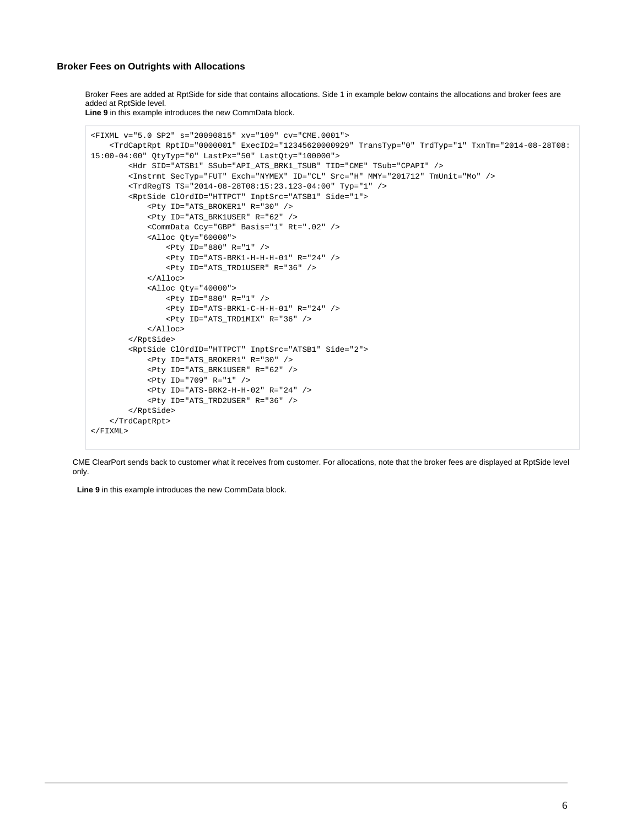#### **Broker Fees on Outrights with Allocations**

Broker Fees are added at RptSide for side that contains allocations. Side 1 in example below contains the allocations and broker fees are added at RptSide level.

**Line 9** in this example introduces the new CommData block.

```
<FIXML v="5.0 SP2" s="20090815" xv="109" cv="CME.0001">
     <TrdCaptRpt RptID="0000001" ExecID2="12345620000929" TransTyp="0" TrdTyp="1" TxnTm="2014-08-28T08:
15:00-04:00" QtyTyp="0" LastPx="50" LastQty="100000">
         <Hdr SID="ATSB1" SSub="API_ATS_BRK1_TSUB" TID="CME" TSub="CPAPI" />
         <Instrmt SecTyp="FUT" Exch="NYMEX" ID="CL" Src="H" MMY="201712" TmUnit="Mo" />
         <TrdRegTS TS="2014-08-28T08:15:23.123-04:00" Typ="1" />
         <RptSide ClOrdID="HTTPCT" InptSrc="ATSB1" Side="1">
             <Pty ID="ATS_BROKER1" R="30" />
             <Pty ID="ATS_BRK1USER" R="62" />
             <CommData Ccy="GBP" Basis="1" Rt=".02" />
             <Alloc Qty="60000">
                 <Pty ID="880" R="1" />
                 <Pty ID="ATS-BRK1-H-H-H-01" R="24" />
                 <Pty ID="ATS_TRD1USER" R="36" />
             </Alloc>
             <Alloc Qty="40000">
                 <Pty ID="880" R="1" />
                 <Pty ID="ATS-BRK1-C-H-H-01" R="24" />
                 <Pty ID="ATS_TRD1MIX" R="36" />
            \sim/Alloc>
         </RptSide>
         <RptSide ClOrdID="HTTPCT" InptSrc="ATSB1" Side="2">
             <Pty ID="ATS_BROKER1" R="30" />
             <Pty ID="ATS_BRK1USER" R="62" />
             <Pty ID="709" R="1" />
             <Pty ID="ATS-BRK2-H-H-02" R="24" />
             <Pty ID="ATS_TRD2USER" R="36" />
         </RptSide>
     </TrdCaptRpt>
\epsilon/FTXML>
```
CME ClearPort sends back to customer what it receives from customer. For allocations, note that the broker fees are displayed at RptSide level only.

**Line 9** in this example introduces the new CommData block.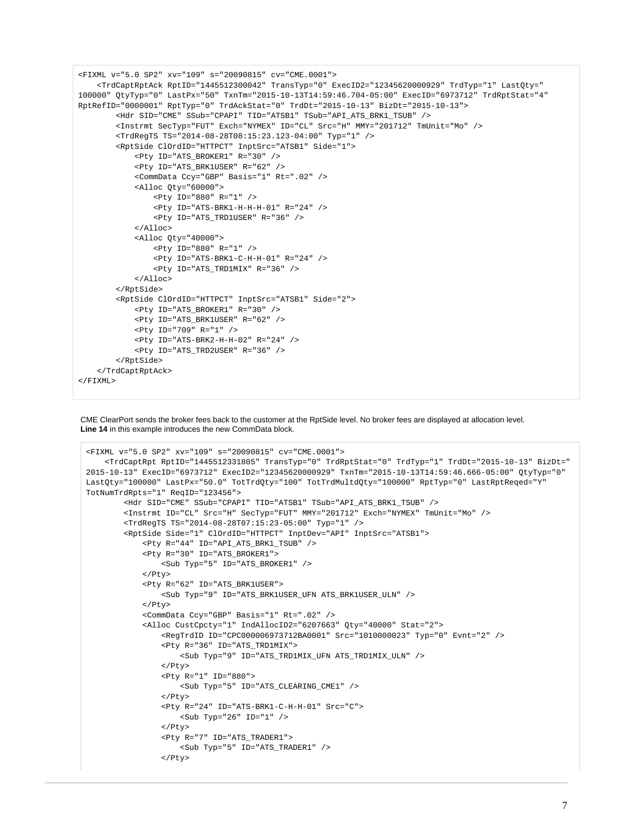```
<FIXML v="5.0 SP2" xv="109" s="20090815" cv="CME.0001">
     <TrdCaptRpt RptID="1445512331805" TransTyp="0" TrdRptStat="0" TrdTyp="1" TrdDt="2015-10-13" BizDt="
2015-10-13" ExecID="6973712" ExecID2="12345620000929" TxnTm="2015-10-13T14:59:46.666-05:00" QtyTyp="0" 
LastQty="100000" LastPx="50.0" TotTrdQty="100" TotTrdMultdQty="100000" RptTyp="0" LastRptReqed="Y" 
TotNumTrdRpts="1" ReqID="123456">
         <Hdr SID="CME" SSub="CPAPI" TID="ATSB1" TSub="API_ATS_BRK1_TSUB" />
         <Instrmt ID="CL" Src="H" SecTyp="FUT" MMY="201712" Exch="NYMEX" TmUnit="Mo" />
         <TrdRegTS TS="2014-08-28T07:15:23-05:00" Typ="1" />
         <RptSide Side="1" ClOrdID="HTTPCT" InptDev="API" InptSrc="ATSB1">
             <Pty R="44" ID="API_ATS_BRK1_TSUB" />
             <Pty R="30" ID="ATS_BROKER1">
                 <Sub Typ="5" ID="ATS_BROKER1" />
            \langle/Ptv>
             <Pty R="62" ID="ATS_BRK1USER">
                 <Sub Typ="9" ID="ATS_BRK1USER_UFN ATS_BRK1USER_ULN" />
            </Pty>
             <CommData Ccy="GBP" Basis="1" Rt=".02" />
             <Alloc CustCpcty="1" IndAllocID2="6207663" Qty="40000" Stat="2">
                 <RegTrdID ID="CPC000006973712BA0001" Src="1010000023" Typ="0" Evnt="2" />
                 <Pty R="36" ID="ATS_TRD1MIX">
                     <Sub Typ="9" ID="ATS_TRD1MIX_UFN ATS_TRD1MIX_ULN" />
                 </Pty>
                 <Pty R="1" ID="880">
                     <Sub Typ="5" ID="ATS_CLEARING_CME1" />
                 </Pty>
                 <Pty R="24" ID="ATS-BRK1-C-H-H-01" Src="C">
                     <Sub Typ="26" ID="1" />
                 </Pty>
                 <Pty R="7" ID="ATS_TRADER1">
                     <Sub Typ="5" ID="ATS_TRADER1" />
                 </Pty>
```
CME ClearPort sends the broker fees back to the customer at the RptSide level. No broker fees are displayed at allocation level. **Line 14** in this example introduces the new CommData block.

```
<FIXML v="5.0 SP2" xv="109" s="20090815" cv="CME.0001">
     <TrdCaptRptAck RptID="1445512300042" TransTyp="0" ExecID2="12345620000929" TrdTyp="1" LastQty="
100000" QtyTyp="0" LastPx="50" TxnTm="2015-10-13T14:59:46.704-05:00" ExecID="6973712" TrdRptStat="4" 
RptRefID="0000001" RptTyp="0" TrdAckStat="0" TrdDt="2015-10-13" BizDt="2015-10-13">
         <Hdr SID="CME" SSub="CPAPI" TID="ATSB1" TSub="API_ATS_BRK1_TSUB" />
         <Instrmt SecTyp="FUT" Exch="NYMEX" ID="CL" Src="H" MMY="201712" TmUnit="Mo" />
         <TrdRegTS TS="2014-08-28T08:15:23.123-04:00" Typ="1" />
         <RptSide ClOrdID="HTTPCT" InptSrc="ATSB1" Side="1">
             <Pty ID="ATS_BROKER1" R="30" />
             <Pty ID="ATS_BRK1USER" R="62" />
             <CommData Ccy="GBP" Basis="1" Rt=".02" />
             <Alloc Qty="60000">
                 <Pty ID="880" R="1" />
                 <Pty ID="ATS-BRK1-H-H-H-01" R="24" />
                 <Pty ID="ATS_TRD1USER" R="36" />
             </Alloc>
             <Alloc Qty="40000">
                 <Pty ID="880" R="1" />
                 <Pty ID="ATS-BRK1-C-H-H-01" R="24" />
                 <Pty ID="ATS_TRD1MIX" R="36" />
            \epsilon/Alloc>
         </RptSide>
         <RptSide ClOrdID="HTTPCT" InptSrc="ATSB1" Side="2">
             <Pty ID="ATS_BROKER1" R="30" />
             <Pty ID="ATS_BRK1USER" R="62" />
             <Pty ID="709" R="1" />
             <Pty ID="ATS-BRK2-H-H-02" R="24" />
             <Pty ID="ATS_TRD2USER" R="36" />
         </RptSide>
     </TrdCaptRptAck>
</FIXML>
```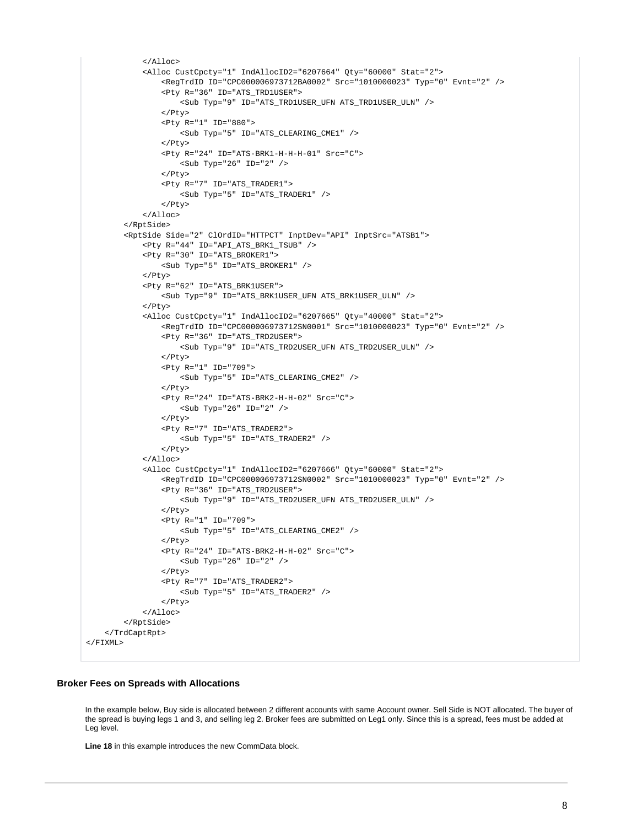```
\langleAlloc>
             <Alloc CustCpcty="1" IndAllocID2="6207664" Qty="60000" Stat="2">
                 <RegTrdID ID="CPC000006973712BA0002" Src="1010000023" Typ="0" Evnt="2" />
                 <Pty R="36" ID="ATS_TRD1USER">
                     <Sub Typ="9" ID="ATS_TRD1USER_UFN ATS_TRD1USER_ULN" />
                 </Pty>
                 <Pty R="1" ID="880">
                     <Sub Typ="5" ID="ATS_CLEARING_CME1" />
                 </Pty>
                 <Pty R="24" ID="ATS-BRK1-H-H-H-01" Src="C">
                    \text{Sub Type} "26" ID="2" />
                 </Pty>
                 <Pty R="7" ID="ATS_TRADER1">
                     <Sub Typ="5" ID="ATS_TRADER1" />
                 </Pty>
             </Alloc>
         </RptSide>
         <RptSide Side="2" ClOrdID="HTTPCT" InptDev="API" InptSrc="ATSB1">
             <Pty R="44" ID="API_ATS_BRK1_TSUB" />
             <Pty R="30" ID="ATS_BROKER1">
                 <Sub Typ="5" ID="ATS_BROKER1" />
             </Pty>
             <Pty R="62" ID="ATS_BRK1USER">
                 <Sub Typ="9" ID="ATS_BRK1USER_UFN ATS_BRK1USER_ULN" />
             </Pty>
             <Alloc CustCpcty="1" IndAllocID2="6207665" Qty="40000" Stat="2">
                 <RegTrdID ID="CPC000006973712SN0001" Src="1010000023" Typ="0" Evnt="2" />
                 <Pty R="36" ID="ATS_TRD2USER">
                     <Sub Typ="9" ID="ATS_TRD2USER_UFN ATS_TRD2USER_ULN" />
                </Pty>
                 <Pty R="1" ID="709">
                     <Sub Typ="5" ID="ATS_CLEARING_CME2" />
                 </Pty>
                 <Pty R="24" ID="ATS-BRK2-H-H-02" Src="C">
                     <Sub Typ="26" ID="2" />
                  </Pty>
                 <Pty R="7" ID="ATS_TRADER2">
                     <Sub Typ="5" ID="ATS_TRADER2" />
                 </Pty>
            \langleAlloc>
             <Alloc CustCpcty="1" IndAllocID2="6207666" Qty="60000" Stat="2">
                 <RegTrdID ID="CPC000006973712SN0002" Src="1010000023" Typ="0" Evnt="2" />
                 <Pty R="36" ID="ATS_TRD2USER">
                     <Sub Typ="9" ID="ATS_TRD2USER_UFN ATS_TRD2USER_ULN" />
                 </Pty>
                 <Pty R="1" ID="709">
                     <Sub Typ="5" ID="ATS_CLEARING_CME2" />
                 </Pty>
                 <Pty R="24" ID="ATS-BRK2-H-H-02" Src="C">
                     <Sub Typ="26" ID="2" />
                 </Pty>
                 <Pty R="7" ID="ATS_TRADER2">
                     <Sub Typ="5" ID="ATS_TRADER2" />
                 </Pty>
            \langleAlloc>
         </RptSide>
     </TrdCaptRpt>
</FIXML>
```
## **Broker Fees on Spreads with Allocations**

In the example below, Buy side is allocated between 2 different accounts with same Account owner. Sell Side is NOT allocated. The buyer of the spread is buying legs 1 and 3, and selling leg 2. Broker fees are submitted on Leg1 only. Since this is a spread, fees must be added at Leg level.

**Line 18** in this example introduces the new CommData block.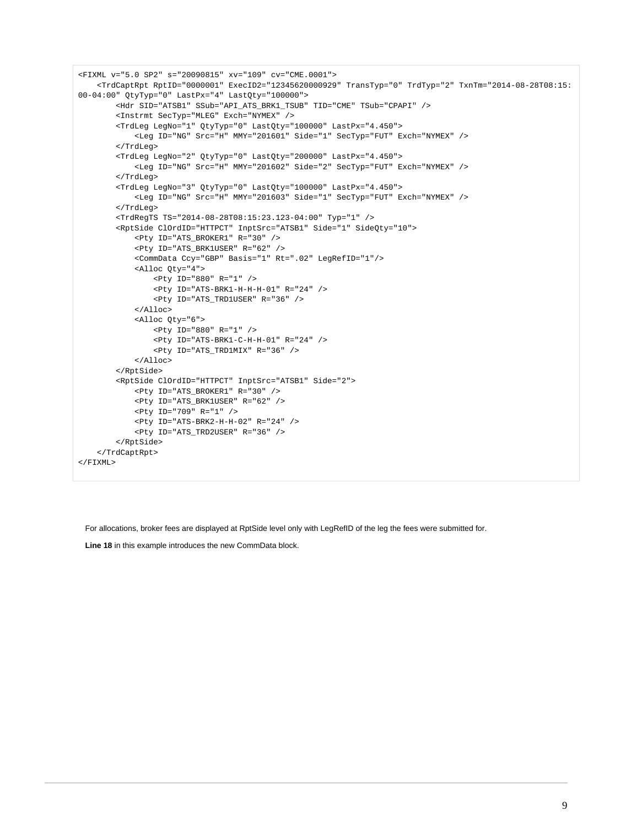```
<FIXML v="5.0 SP2" s="20090815" xv="109" cv="CME.0001">
     <TrdCaptRpt RptID="0000001" ExecID2="12345620000929" TransTyp="0" TrdTyp="2" TxnTm="2014-08-28T08:15:
00-04:00" QtyTyp="0" LastPx="4" LastQty="100000">
         <Hdr SID="ATSB1" SSub="API_ATS_BRK1_TSUB" TID="CME" TSub="CPAPI" />
         <Instrmt SecTyp="MLEG" Exch="NYMEX" />
         <TrdLeg LegNo="1" QtyTyp="0" LastQty="100000" LastPx="4.450">
             <Leg ID="NG" Src="H" MMY="201601" Side="1" SecTyp="FUT" Exch="NYMEX" />
         </TrdLeg>
         <TrdLeg LegNo="2" QtyTyp="0" LastQty="200000" LastPx="4.450">
             <Leg ID="NG" Src="H" MMY="201602" Side="2" SecTyp="FUT" Exch="NYMEX" />
         </TrdLeg>
         <TrdLeg LegNo="3" QtyTyp="0" LastQty="100000" LastPx="4.450">
             <Leg ID="NG" Src="H" MMY="201603" Side="1" SecTyp="FUT" Exch="NYMEX" />
         </TrdLeg>
         <TrdRegTS TS="2014-08-28T08:15:23.123-04:00" Typ="1" />
         <RptSide ClOrdID="HTTPCT" InptSrc="ATSB1" Side="1" SideQty="10">
             <Pty ID="ATS_BROKER1" R="30" />
             <Pty ID="ATS_BRK1USER" R="62" />
             <CommData Ccy="GBP" Basis="1" Rt=".02" LegRefID="1"/>
             <Alloc Qty="4">
                 <Pty ID="880" R="1" />
                 <Pty ID="ATS-BRK1-H-H-H-01" R="24" />
                 <Pty ID="ATS_TRD1USER" R="36" />
             </Alloc>
             <Alloc Qty="6">
                 <Pty ID="880" R="1" />
                 <Pty ID="ATS-BRK1-C-H-H-01" R="24" />
                 <Pty ID="ATS_TRD1MIX" R="36" />
             </Alloc>
         </RptSide>
         <RptSide ClOrdID="HTTPCT" InptSrc="ATSB1" Side="2">
             <Pty ID="ATS_BROKER1" R="30" />
             <Pty ID="ATS_BRK1USER" R="62" />
             <Pty ID="709" R="1" />
             <Pty ID="ATS-BRK2-H-H-02" R="24" />
             <Pty ID="ATS_TRD2USER" R="36" />
         </RptSide>
    </TrdCaptRpt>
\langle/FTXML>
```
For allocations, broker fees are displayed at RptSide level only with LegRefID of the leg the fees were submitted for.

**Line 18** in this example introduces the new CommData block.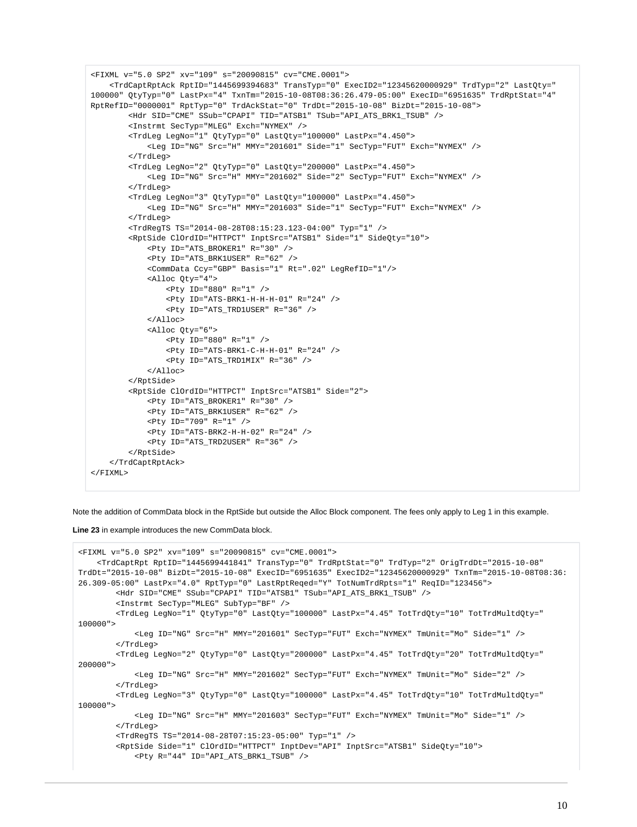```
<FIXML v="5.0 SP2" xv="109" s="20090815" cv="CME.0001">
     <TrdCaptRptAck RptID="1445699394683" TransTyp="0" ExecID2="12345620000929" TrdTyp="2" LastQty="
100000" QtyTyp="0" LastPx="4" TxnTm="2015-10-08T08:36:26.479-05:00" ExecID="6951635" TrdRptStat="4" 
RptRefID="0000001" RptTyp="0" TrdAckStat="0" TrdDt="2015-10-08" BizDt="2015-10-08">
         <Hdr SID="CME" SSub="CPAPI" TID="ATSB1" TSub="API_ATS_BRK1_TSUB" />
         <Instrmt SecTyp="MLEG" Exch="NYMEX" />
         <TrdLeg LegNo="1" QtyTyp="0" LastQty="100000" LastPx="4.450">
             <Leg ID="NG" Src="H" MMY="201601" Side="1" SecTyp="FUT" Exch="NYMEX" />
         </TrdLeg>
         <TrdLeg LegNo="2" QtyTyp="0" LastQty="200000" LastPx="4.450">
             <Leg ID="NG" Src="H" MMY="201602" Side="2" SecTyp="FUT" Exch="NYMEX" />
         </TrdLeg>
         <TrdLeg LegNo="3" QtyTyp="0" LastQty="100000" LastPx="4.450">
             <Leg ID="NG" Src="H" MMY="201603" Side="1" SecTyp="FUT" Exch="NYMEX" />
         </TrdLeg>
         <TrdRegTS TS="2014-08-28T08:15:23.123-04:00" Typ="1" />
         <RptSide ClOrdID="HTTPCT" InptSrc="ATSB1" Side="1" SideQty="10">
             <Pty ID="ATS_BROKER1" R="30" />
             <Pty ID="ATS_BRK1USER" R="62" />
             <CommData Ccy="GBP" Basis="1" Rt=".02" LegRefID="1"/>
             <Alloc Qty="4">
                 <Pty ID="880" R="1" />
                 <Pty ID="ATS-BRK1-H-H-H-01" R="24" />
                 <Pty ID="ATS_TRD1USER" R="36" />
             </Alloc>
             <Alloc Qty="6">
                 <Pty ID="880" R="1" />
                 <Pty ID="ATS-BRK1-C-H-H-01" R="24" />
                 <Pty ID="ATS_TRD1MIX" R="36" />
            \langleAlloc>
         </RptSide>
         <RptSide ClOrdID="HTTPCT" InptSrc="ATSB1" Side="2">
             <Pty ID="ATS_BROKER1" R="30" />
             <Pty ID="ATS_BRK1USER" R="62" />
             <Pty ID="709" R="1" />
             <Pty ID="ATS-BRK2-H-H-02" R="24" />
             <Pty ID="ATS_TRD2USER" R="36" />
         </RptSide>
     </TrdCaptRptAck>
\epsilon/FTYML\sim
```
Note the addition of CommData block in the RptSide but outside the Alloc Block component. The fees only apply to Leg 1 in this example.

**Line 23** in example introduces the new CommData block.

```
<FIXML v="5.0 SP2" xv="109" s="20090815" cv="CME.0001">
     <TrdCaptRpt RptID="1445699441841" TransTyp="0" TrdRptStat="0" TrdTyp="2" OrigTrdDt="2015-10-08" 
TrdDt="2015-10-08" BizDt="2015-10-08" ExecID="6951635" ExecID2="12345620000929" TxnTm="2015-10-08T08:36:
26.309-05:00" LastPx="4.0" RptTyp="0" LastRptReqed="Y" TotNumTrdRpts="1" ReqID="123456">
         <Hdr SID="CME" SSub="CPAPI" TID="ATSB1" TSub="API_ATS_BRK1_TSUB" />
         <Instrmt SecTyp="MLEG" SubTyp="BF" />
         <TrdLeg LegNo="1" QtyTyp="0" LastQty="100000" LastPx="4.45" TotTrdQty="10" TotTrdMultdQty="
100000">
             <Leg ID="NG" Src="H" MMY="201601" SecTyp="FUT" Exch="NYMEX" TmUnit="Mo" Side="1" />
         </TrdLeg>
         <TrdLeg LegNo="2" QtyTyp="0" LastQty="200000" LastPx="4.45" TotTrdQty="20" TotTrdMultdQty="
200000">
             <Leg ID="NG" Src="H" MMY="201602" SecTyp="FUT" Exch="NYMEX" TmUnit="Mo" Side="2" />
         </TrdLeg>
         <TrdLeg LegNo="3" QtyTyp="0" LastQty="100000" LastPx="4.45" TotTrdQty="10" TotTrdMultdQty="
100000">
             <Leg ID="NG" Src="H" MMY="201603" SecTyp="FUT" Exch="NYMEX" TmUnit="Mo" Side="1" />
         </TrdLeg>
         <TrdRegTS TS="2014-08-28T07:15:23-05:00" Typ="1" />
         <RptSide Side="1" ClOrdID="HTTPCT" InptDev="API" InptSrc="ATSB1" SideQty="10">
             <Pty R="44" ID="API_ATS_BRK1_TSUB" />
```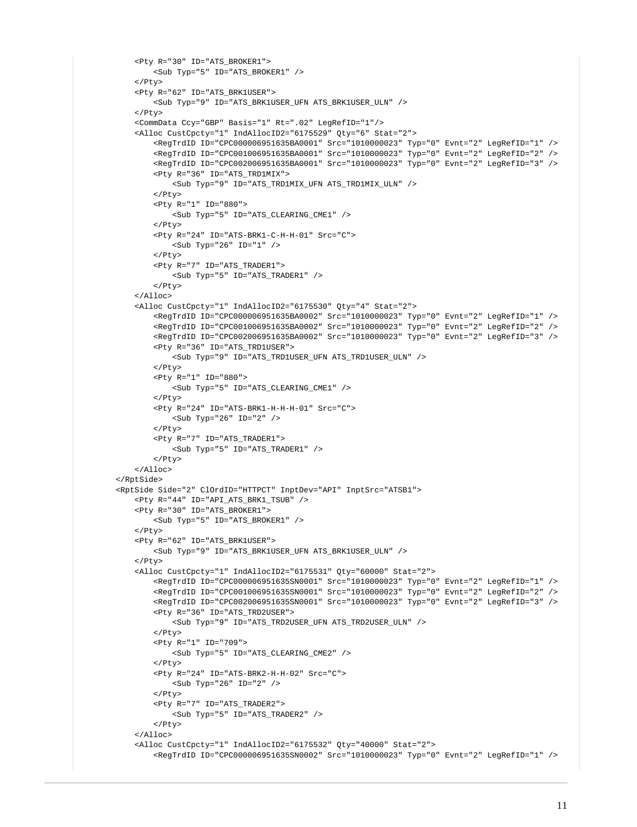```
 <Pty R="30" ID="ATS_BROKER1">
         <Sub Typ="5" ID="ATS_BROKER1" />
     </Pty>
     <Pty R="62" ID="ATS_BRK1USER">
         <Sub Typ="9" ID="ATS_BRK1USER_UFN ATS_BRK1USER_ULN" />
     </Pty>
     <CommData Ccy="GBP" Basis="1" Rt=".02" LegRefID="1"/>
     <Alloc CustCpcty="1" IndAllocID2="6175529" Qty="6" Stat="2">
         <RegTrdID ID="CPC000006951635BA0001" Src="1010000023" Typ="0" Evnt="2" LegRefID="1" />
         <RegTrdID ID="CPC001006951635BA0001" Src="1010000023" Typ="0" Evnt="2" LegRefID="2" />
         <RegTrdID ID="CPC002006951635BA0001" Src="1010000023" Typ="0" Evnt="2" LegRefID="3" />
         <Pty R="36" ID="ATS_TRD1MIX">
             <Sub Typ="9" ID="ATS_TRD1MIX_UFN ATS_TRD1MIX_ULN" />
         </Pty>
         <Pty R="1" ID="880">
             <Sub Typ="5" ID="ATS_CLEARING_CME1" />
        </Pty>
         <Pty R="24" ID="ATS-BRK1-C-H-H-01" Src="C">
            <Sub Typ="26" ID="1" />
         </Pty>
         <Pty R="7" ID="ATS_TRADER1">
             <Sub Typ="5" ID="ATS_TRADER1" />
         </Pty>
    \epsilon/Alloc>
     <Alloc CustCpcty="1" IndAllocID2="6175530" Qty="4" Stat="2">
         <RegTrdID ID="CPC000006951635BA0002" Src="1010000023" Typ="0" Evnt="2" LegRefID="1" />
         <RegTrdID ID="CPC001006951635BA0002" Src="1010000023" Typ="0" Evnt="2" LegRefID="2" />
         <RegTrdID ID="CPC002006951635BA0002" Src="1010000023" Typ="0" Evnt="2" LegRefID="3" />
         <Pty R="36" ID="ATS_TRD1USER">
            <Sub Typ="9" ID="ATS_TRD1USER_UFN ATS_TRD1USER_ULN" />
         </Pty>
         <Pty R="1" ID="880">
             <Sub Typ="5" ID="ATS_CLEARING_CME1" />
        \epsilon/Pty>
         <Pty R="24" ID="ATS-BRK1-H-H-H-01" Src="C">
             <Sub Typ="26" ID="2" />
         </Pty>
         <Pty R="7" ID="ATS_TRADER1">
            <Sub Typ="5" ID="ATS_TRADER1" />
        \langle/Ptv>
     </Alloc>
 </RptSide>
 <RptSide Side="2" ClOrdID="HTTPCT" InptDev="API" InptSrc="ATSB1">
     <Pty R="44" ID="API_ATS_BRK1_TSUB" />
     <Pty R="30" ID="ATS_BROKER1">
         <Sub Typ="5" ID="ATS_BROKER1" />
    \epsilon/Pty>
     <Pty R="62" ID="ATS_BRK1USER">
         <Sub Typ="9" ID="ATS_BRK1USER_UFN ATS_BRK1USER_ULN" />
     </Pty>
     <Alloc CustCpcty="1" IndAllocID2="6175531" Qty="60000" Stat="2">
         <RegTrdID ID="CPC000006951635SN0001" Src="1010000023" Typ="0" Evnt="2" LegRefID="1" />
         <RegTrdID ID="CPC001006951635SN0001" Src="1010000023" Typ="0" Evnt="2" LegRefID="2" />
         <RegTrdID ID="CPC002006951635SN0001" Src="1010000023" Typ="0" Evnt="2" LegRefID="3" />
         <Pty R="36" ID="ATS_TRD2USER">
             <Sub Typ="9" ID="ATS_TRD2USER_UFN ATS_TRD2USER_ULN" />
        2/D+3/2 <Pty R="1" ID="709">
             <Sub Typ="5" ID="ATS_CLEARING_CME2" />
        2/D+3/2 <Pty R="24" ID="ATS-BRK2-H-H-02" Src="C">
            <Sub Typ="26" ID="2" />
         </Pty>
         <Pty R="7" ID="ATS_TRADER2">
            <Sub Typ="5" ID="ATS_TRADER2" />
         </Pty>
    \leq/Alloc>
     <Alloc CustCpcty="1" IndAllocID2="6175532" Qty="40000" Stat="2">
```
<RegTrdID ID="CPC000006951635SN0002" Src="1010000023" Typ="0" Evnt="2" LegRefID="1" />